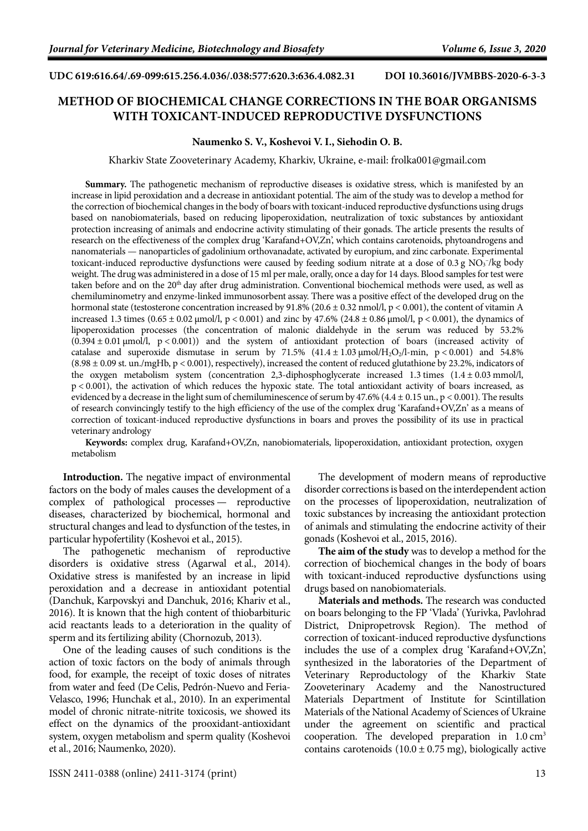## **UDC 619:616.64/.69-099:615.256.4.036/.038:577:620.3:636.4.082.31 DOI [10.36016/JVMBBS-2020-6-3-3](https://doi.org/10.36016/JVMBBS-2020-6-3-3)**

## **METHOD OF BIOCHEMICAL CHANGE CORRECTIONS IN THE BOAR ORGANISMS WITH TOXICANT-INDUCED REPRODUCTIVE DYSFUNCTIONS**

## **Naumenko S. V., Koshevoi V. I., Siehodin O. B.**

Kharkiv State Zooveterinary Academy, Kharkiv, Ukraine, e-mail: [frolka001@gmail.com](mailto:frolka001@gmail.com)

**Summary.** The pathogenetic mechanism of reproductive diseases is oxidative stress, which is manifested by an increase in lipid peroxidation and a decrease in antioxidant potential. The aim of the study was to develop a method for the correction of biochemical changes in the body of boars with toxicant-induced reproductive dysfunctions using drugs based on nanobiomaterials, based on reducing lipoperoxidation, neutralization of toxic substances by antioxidant protection increasing of animals and endocrine activity stimulating of their gonads. The article presents the results of research on the effectiveness of the complex drug 'Karafand+OV,Zn', which contains carotenoids, phytoandrogens and nanomaterials — nanoparticles of gadolinium orthovanadate, activated by europium, and zinc carbonate. Experimental toxicant-induced reproductive dysfunctions were caused by feeding sodium nitrate at a dose of 0.3 g  $NO<sub>3</sub>$ /kg body weight. The drug was administered in a dose of 15 ml per male, orally, once a day for 14 days. Blood samples for test were taken before and on the 20<sup>th</sup> day after drug administration. Conventional biochemical methods were used, as well as chemiluminometry and enzyme-linked immunosorbent assay. There was a positive effect of the developed drug on the hormonal state (testosterone concentration increased by  $91.8\%$  (20.6 ± 0.32 nmol/l, p < 0.001), the content of vitamin A increased 1.3 times  $(0.65 \pm 0.02 \,\mu\text{mol/l}, p \, 0.001)$  and zinc by 47.6%  $(24.8 \pm 0.86 \,\mu\text{mol/l}, p \, 0.001)$ , the dynamics of lipoperoxidation processes (the concentration of malonic dialdehyde in the serum was reduced by 53.2%  $(0.394 \pm 0.01 \,\mu\text{mol/L})$ , p < 0.001)) and the system of antioxidant protection of boars (increased activity of catalase and superoxide dismutase in serum by 71.5%  $(41.4 \pm 1.03 \,\mu\text{mol/H}_2\text{O}_2/\text{l-min}$ , p < 0.001) and 54.8%  $(8.98 \pm 0.09 \text{ st. un./mgHb}, p < 0.001)$ , respectively), increased the content of reduced glutathione by 23.2%, indicators of the oxygen metabolism system (concentration 2,3-diphosphoglycerate increased 1.3 times (1.4 ± 0.03 mmol/l, p < 0.001), the activation of which reduces the hypoxic state. The total antioxidant activity of boars increased, as evidenced by a decrease in the light sum of chemiluminescence of serum by 47.6% (4.4  $\pm$  0.15 un., p < 0.001). The results of research convincingly testify to the high efficiency of the use of the complex drug 'Karafand+OV,Zn' as a means of correction of toxicant-induced reproductive dysfunctions in boars and proves the possibility of its use in practical veterinary andrology

**Keywords:** complex drug, Karafand+OV,Zn, nanobiomaterials, lipoperoxidation, antioxidant protection, oxygen metabolism

**Introduction.** The negative impact of environmental factors on the body of males causes the development of a complex of pathological processes — reproductive diseases, characterized by biochemical, hormonal and structural changes and lead to dysfunction of the testes, in particular hypofertility [\(Koshevoi et](#page-3-0) al., 2015).

The pathogenetic mechanism of reproductive disorders is oxidative stress [\(Agarwal et](#page-2-0) al., 2014). Oxidative stress is manifested by an increase in lipid peroxidation and a decrease in antioxidant potential [\(Danchuk, Karpovskyi and Danchuk, 2016;](#page-2-1) [Khariv et](#page-3-1) al., [2016\)](#page-3-1). It is known that the high content of thiobarbituric acid reactants leads to a deterioration in the quality of sperm and its fertilizing ability [\(Chornozub, 2013\)](#page-2-2).

One of the leading causes of such conditions is the action of toxic factors on the body of animals through food, for example, the receipt of toxic doses of nitrates from water and feed (De [Celis, Pedrón-Nuevo and Feria-](#page-2-3)[Velasco, 1996;](#page-2-3) [Hunchak et](#page-2-4) al., 2010). In an experimental model of chronic nitrate-nitrite toxicosis, we showed its effect on the dynamics of the prooxidant-antioxidant system, oxygen metabolism and sperm quality [\(Koshevoi](#page-3-2)  et [al., 2016;](#page-3-2) [Naumenko, 2020\)](#page-3-3).

The development of modern means of reproductive disorder corrections is based on the interdependent action on the processes of lipoperoxidation, neutralization of toxic substances by increasing the antioxidant protection of animals and stimulating the endocrine activity of their gonads [\(Koshevoi et](#page-3-0) al., 2015, [2016\)](#page-3-2).

**The aim of the study** was to develop a method for the correction of biochemical changes in the body of boars with toxicant-induced reproductive dysfunctions using drugs based on nanobiomaterials.

**Materials and methods.** The research was conducted on boars belonging to the FP 'Vlada' (Yurivka, Pavlohrad District, Dnipropetrovsk Region). The method of correction of toxicant-induced reproductive dysfunctions includes the use of a complex drug 'Karafand+OV,Zn', synthesized in the laboratories of the Department of Veterinary Reproductology of the Kharkiv State Zooveterinary Academy and the Nanostructured Materials Department of Institute for Scintillation Materials of the National Academy of Sciences of Ukraine under the agreement on scientific and practical cooperation. The developed preparation in  $1.0 \text{ cm}^3$ contains carotenoids  $(10.0 \pm 0.75 \text{ mg})$ , biologically active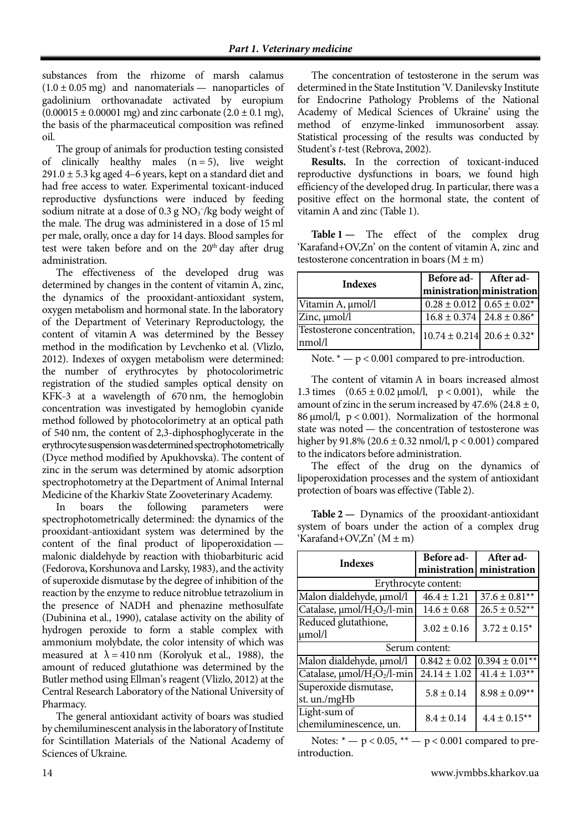substances from the rhizome of marsh calamus  $(1.0 \pm 0.05 \text{ mg})$  and nanomaterials — nanoparticles of gadolinium orthovanadate activated by europium  $(0.00015 \pm 0.00001 \text{ mg})$  and zinc carbonate  $(2.0 \pm 0.1 \text{ mg})$ , the basis of the pharmaceutical composition was refined oil.

The group of animals for production testing consisted of clinically healthy males  $(n = 5)$ , live weight  $291.0 \pm 5.3$  kg aged 4–6 years, kept on a standard diet and had free access to water. Experimental toxicant-induced reproductive dysfunctions were induced by feeding sodium nitrate at a dose of  $0.3$  g  $NO<sub>3</sub><sup>-</sup>/kg$  body weight of the male. The drug was administered in a dose of 15 ml per male, orally, once a day for 14 days. Blood samples for test were taken before and on the 20<sup>th</sup> day after drug administration.

The effectiveness of the developed drug was determined by changes in the content of vitamin A, zinc, the dynamics of the prooxidant-antioxidant system, oxygen metabolism and hormonal state. In the laboratory of the Department of Veterinary Reproductology, the content of vitamin A was determined by the Bessey method in the modification by Levchenko et al. [\(Vlizlo,](#page-3-4)  [2012\)](#page-3-4). Indexes of oxygen metabolism were determined: the number of erythrocytes by photocolorimetric registration of the studied samples optical density on KFK-3 at a wavelength of 670 nm, the hemoglobin concentration was investigated by hemoglobin cyanide method followed by photocolorimetry at an optical path of 540 nm, the content of 2,3-diphosphoglycerate in the erythrocyte suspension was determined spectrophotometrically (Dyce method modified by Apukhovska). The content of zinc in the serum was determined by atomic adsorption spectrophotometry at the Department of Animal Internal Medicine of the Kharkiv State Zooveterinary Academy.

In boars the following parameters were spectrophotometrically determined: the dynamics of the prooxidant-antioxidant system was determined by the content of the final product of lipoperoxidation malonic dialdehyde by reaction with thiobarbituric acid [\(Fedorova, Korshunova and Larsky, 1983\)](#page-2-5), and the activity of superoxide dismutase by the degree of inhibition of the reaction by the enzyme to reduce nitroblue tetrazolium in the presence of NADH and phenazine methosulfate [\(Dubinina et](#page-2-6) al., 1990), catalase activity on the ability of hydrogen peroxide to form a stable complex with ammonium molybdate, the color intensity of which was measured at  $\lambda = 410$  nm [\(Korolyuk et](#page-3-5) al., 1988), the amount of reduced glutathione was determined by the Butler method using Ellman's reagent [\(Vlizlo, 2012\)](#page-3-4) at the Central Research Laboratory of the National University of Pharmacy.

The general antioxidant activity of boars was studied by chemiluminescent analysis in the laboratory of Institute for Scintillation Materials of the National Academy of Sciences of Ukraine.

The concentration of testosterone in the serum was determined in the State Institution 'V. Danilevsky Institute for Endocrine Pathology Problems of the National Academy of Medical Sciences of Ukraine' using the method of enzyme-linked immunosorbent assay. Statistical processing of the results was conducted by Student's *t*-test [\(Rebrova, 2002\)](#page-3-6).

**Results.** In the correction of toxicant-induced reproductive dysfunctions in boars, we found high efficiency of the developed drug. In particular, there was a positive effect on the hormonal state, the content of vitamin A and zinc (Table 1).

**Table 1 —** The effect of the complex drug 'Karafand+OV,Zn' on the content of vitamin A, zinc and testosterone concentration in boars  $(M \pm m)$ 

| <b>Indexes</b>                        | Before ad- After ad-                            |  |
|---------------------------------------|-------------------------------------------------|--|
|                                       | ministration ministration                       |  |
| Vitamin A, µmol/l                     | $0.28 \pm 0.012$ 0.65 $\pm 0.02$ <sup>*</sup>   |  |
| Zinc, $\mu$ mol/l                     | $16.8 \pm 0.374$   24.8 $\pm 0.86$ <sup>*</sup> |  |
| Testosterone concentration,<br>nmol/l | $10.74 \pm 0.214$ 20.6 ± 0.32*                  |  |

Note.  $* - p < 0.001$  compared to pre-introduction.

The content of vitamin A in boars increased almost 1.3 times  $(0.65 \pm 0.02 \,\mu\text{mol/l}, p < 0.001)$ , while the amount of zinc in the serum increased by 47.6% (24.8  $\pm$  0, 86 μmol/l, p < 0.001). Normalization of the hormonal state was noted — the concentration of testosterone was higher by  $91.8\%$  (20.6  $\pm$  0.32 nmol/l, p < 0.001) compared to the indicators before administration.

The effect of the drug on the dynamics of lipoperoxidation processes and the system of antioxidant protection of boars was effective (Table 2).

**Table 2 —** Dynamics of the prooxidant-antioxidant system of boars under the action of a complex drug 'Karafand+OV,Zn'  $(M \pm m)$ 

| <b>Indexes</b>                                      | Before ad-       | After ad-           |  |
|-----------------------------------------------------|------------------|---------------------|--|
|                                                     | ministration     | ministration        |  |
| Erythrocyte content:                                |                  |                     |  |
| Malon dialdehyde, µmol/l                            | $46.4 \pm 1.21$  | $37.6 \pm 0.81**$   |  |
| Catalase, µmol/H <sub>2</sub> O <sub>2</sub> /l-min | $14.6 \pm 0.68$  | $26.5 \pm 0.52**$   |  |
| Reduced glutathione,<br>$\mu$ mol/l                 | $3.02 \pm 0.16$  | $3.72 \pm 0.15^*$   |  |
| Serum content:                                      |                  |                     |  |
| Malon dialdehyde, µmol/l                            | $0.842 \pm 0.02$ | $0.394 \pm 0.01**$  |  |
| Catalase, µmol/H <sub>2</sub> O <sub>2</sub> /l-min | $24.14 \pm 1.02$ | $41.4 \pm 1.03**$   |  |
| Superoxide dismutase,<br>st. un./mgHb               | $5.8 \pm 0.14$   | $8.98 \pm 0.09**$   |  |
| Light-sum of<br>chemiluminescence, un.              | $8.4 \pm 0.14$   | $4.4 \pm 0.15^{**}$ |  |

Notes:  $* - p < 0.05$ ,  $** - p < 0.001$  compared to preintroduction.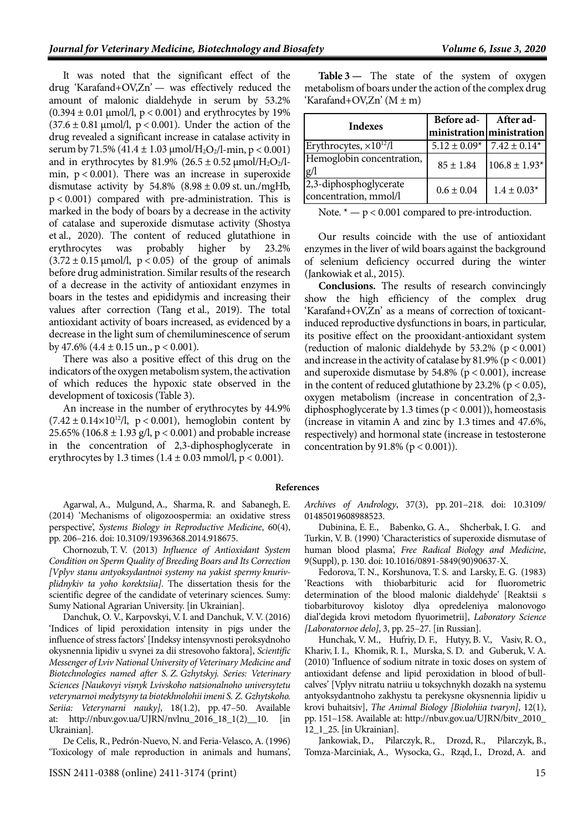It was noted that the significant effect of the drug 'Karafand+OV,Zn' — was effectively reduced the amount of malonic dialdehyde in serum by 53.2%  $(0.394 \pm 0.01 \,\text{\mu} \text{mol/l}, p < 0.001)$  and erythrocytes by 19%  $(37.6 \pm 0.81 \text{ µmol/l}, p < 0.001)$ . Under the action of the drug revealed a significant increase in catalase activity in serum by 71.5% (41.4 ± 1.03  $\mu$ mol/H<sub>2</sub>O<sub>2</sub>/l-min, p < 0.001) and in erythrocytes by 81.9% (26.5  $\pm$  0.52 µmol/H<sub>2</sub>O<sub>2</sub>/lmin,  $p < 0.001$ ). There was an increase in superoxide dismutase activity by  $54.8\%$   $(8.98 \pm 0.09 \text{ st. un./mgHb,}$  $p < 0.001$ ) compared with pre-administration. This is marked in the body of boars by a decrease in the activity of catalase and superoxide dismutase activity [\(Shostya](#page-3-7)  et [al., 2020\)](#page-3-7). The content of reduced glutathione in erythrocytes was probably higher by 23.2%  $(3.72 \pm 0.15 \text{ }\mu\text{mol/l}, \text{ } p < 0.05)$  of the group of animals before drug administration. Similar results of the research of a decrease in the activity of antioxidant enzymes in boars in the testes and epididymis and increasing their values after correction (Tang et [al., 2019\)](#page-3-8). The total antioxidant activity of boars increased, as evidenced by a decrease in the light sum of chemiluminescence of serum by 47.6%  $(4.4 \pm 0.15 \text{ un.}, p < 0.001)$ .

There was also a positive effect of this drug on the indicators of the oxygen metabolism system, the activation of which reduces the hypoxic state observed in the development of toxicosis (Table 3).

An increase in the number of erythrocytes by 44.9%  $(7.42 \pm 0.14 \times 10^{12} / l, p < 0.001)$ , hemoglobin content by 25.65% (106.8  $\pm$  1.93 g/l, p < 0.001) and probable increase in the concentration of 2,3-diphosphoglycerate in erythrocytes by 1.3 times  $(1.4 \pm 0.03 \text{ mmol/l}, p < 0.001)$ .

<span id="page-2-0"></span>Agarwal, A., Mulgund, A., Sharma, R. and Sabanegh, E. (2014) 'Mechanisms of oligozoospermia: an oxidative stress perspective', *Systems Biology in Reproductive Medicine*, 60(4), pp. 206–216. doi[: 10.3109/19396368.2014.918675.](https://doi.org/10.3109/19396368.2014.918675)

<span id="page-2-2"></span>Chornozub, T. V. (2013) *Influence of Antioxidant System Condition on Sperm Quality of Breeding Boars and Its Correction [Vplyv stanu antyoksydantnoi systemy na yakist spermy knurivplidnykiv ta yoho korektsiia]*. The dissertation thesis for the scientific degree of the candidate of veterinary sciences. Sumy: Sumy National Agrarian University. [in Ukrainian].

<span id="page-2-1"></span>Danchuk, O. V., Karpovskyi, V. I. and Danchuk, V. V. (2016) 'Indices of lipid peroxidation intensity in pigs under the influence of stress factors' [Indeksy intensyvnosti peroksydnoho okysnennia lipidiv u svynei za dii stresovoho faktora], *Scientific Messenger of Lviv National University of Veterinary Medicine and Biotechnologies named after S. Z. Gzhytskyj. Series: Veterinary Sciences [Naukovyi visnyk Lvivskoho natsionalnoho universytetu veterynarnoi medytsyny ta biotekhnolohii imeni S. Z. Gzhytskoho. Seriia: Veterynarni nauky]*, 18(1.2), pp. 47–50. Available at: [http://nbuv.gov.ua/UJRN/nvlnu\\_2016\\_18\\_1\(2\)\\_\\_10.](http://nbuv.gov.ua/UJRN/nvlnu_2016_18_1(2)__10) [in Ukrainian].

<span id="page-2-3"></span>De Celis, R., Pedrón-Nuevo, N. and Feria-Velasco, A. (1996) 'Toxicology of male reproduction in animals and humans',

**Table 3 —** The state of the system of oxygen metabolism of boars under the action of the complex drug 'Karafand+OV,Zn' (M ± m)

| <b>Indexes</b>                                  | Before ad-   After ad- | ministration ministration |
|-------------------------------------------------|------------------------|---------------------------|
| Erythrocytes, $\times 10^{12}/l$                | $5.12 \pm 0.09*$       | $7.42 \pm 0.14*$          |
| Hemoglobin concentration,<br>g/l                | $85 \pm 1.84$          | $106.8 \pm 1.93*$         |
| 2,3-diphosphoglycerate<br>concentration, mmol/l | $0.6 \pm 0.04$         | $1.4 \pm 0.03*$           |

Note.  $* - p < 0.001$  compared to pre-introduction.

Our results coincide with the use of antioxidant enzymes in the liver of wild boars against the background of selenium deficiency occurred during the winter [\(Jankowiak et](#page-2-7) al., 2015).

**Conclusions.** The results of research convincingly show the high efficiency of the complex drug 'Karafand+OV,Zn' as a means of correction of toxicantinduced reproductive dysfunctions in boars, in particular, its positive effect on the prooxidant-antioxidant system (reduction of malonic dialdehyde by  $53.2\%$  (p < 0.001) and increase in the activity of catalase by  $81.9\%$  ( $p < 0.001$ ) and superoxide dismutase by  $54.8\%$  ( $p < 0.001$ ), increase in the content of reduced glutathione by  $23.2\%$  (p < 0.05), oxygen metabolism (increase in concentration of 2,3 diphosphoglycerate by 1.3 times  $(p < 0.001)$ ), homeostasis (increase in vitamin A and zinc by 1.3 times and 47.6%, respectively) and hormonal state (increase in testosterone concentration by  $91.8\%$  ( $p < 0.001$ )).

## **References**

*Archives of Andrology*, 37(3), pp. 201–218. doi: [10.3109/](https://doi.org/10.3109/01485019608988523) [01485019608988523.](https://doi.org/10.3109/01485019608988523)

<span id="page-2-6"></span>Dubinina, E. E., Babenko, G. A., Shcherbak, I. G. and Turkin, V. B. (1990) 'Characteristics of superoxide dismutase of human blood plasma', *Free Radical Biology and Medicine*, 9(Suppl), p. 130. doi[: 10.1016/0891-5849\(90\)90637-X.](https://doi.org/10.1016/0891-5849(90)90637-X)

<span id="page-2-5"></span>Fedorova, T. N., Korshunova, T. S. and Larsky, E. G. (1983) 'Reactions with thiobarbituric acid for fluorometric determination of the blood malonic dialdehyde' [Reaktsii s tiobarbiturovoy kislotoy dlya opredeleniya malonovogo dial'degida krovi metodom flyuorimetrii], *Laboratory Science [Laboratornoe delo]*, 3, pp. 25–27. [in Russian].

<span id="page-2-4"></span>Hunchak, V. M., Hufriy, D. F., Hutyy, B. V., Vasiv, R. O., Khariv, I. I., Khomik, R. I., Murska, S. D. and Guberuk, V. A. (2010) 'Influence of sodium nitrate in toxic doses on system of antioxidant defense and lipid peroxidation in blood of bullcalves' [Vplyv nitratu natriiu u toksychnykh dozakh na systemu antyoksydantnoho zakhystu ta perekysne okysnennia lipidiv u krovi buhaitsiv], *The Animal Biology [Biolohiia tvaryn]*, 12(1), pp. 151–158. Available at: [http://nbuv.gov.ua/UJRN/bitv\\_2010\\_](http://nbuv.gov.ua/UJRN/bitv_2010_12_1_25) [12\\_1\\_25.](http://nbuv.gov.ua/UJRN/bitv_2010_12_1_25) [in Ukrainian].

<span id="page-2-7"></span>Jankowiak, D., Pilarczyk, R., Drozd, R., Pilarczyk, B., Tomza-Marciniak, A., Wysocka, G., Rząd, I., Drozd, A. and